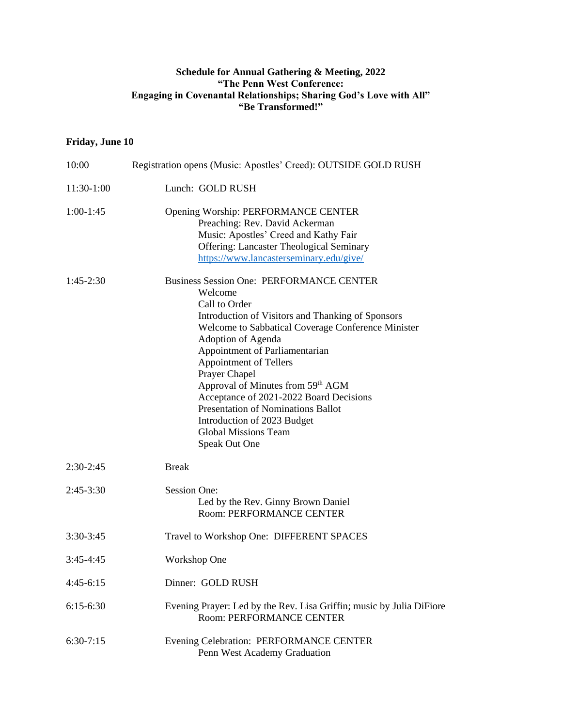## **Schedule for Annual Gathering & Meeting, 2022 "The Penn West Conference: Engaging in Covenantal Relationships; Sharing God's Love with All" "Be Transformed!"**

## **Friday, June 10**

| 10:00        | Registration opens (Music: Apostles' Creed): OUTSIDE GOLD RUSH                                                                                                                                                                                                                                                                                                                                                                                                                                                           |
|--------------|--------------------------------------------------------------------------------------------------------------------------------------------------------------------------------------------------------------------------------------------------------------------------------------------------------------------------------------------------------------------------------------------------------------------------------------------------------------------------------------------------------------------------|
| $11:30-1:00$ | Lunch: GOLD RUSH                                                                                                                                                                                                                                                                                                                                                                                                                                                                                                         |
| $1:00-1:45$  | Opening Worship: PERFORMANCE CENTER<br>Preaching: Rev. David Ackerman<br>Music: Apostles' Creed and Kathy Fair<br><b>Offering: Lancaster Theological Seminary</b><br>https://www.lancasterseminary.edu/give/                                                                                                                                                                                                                                                                                                             |
| $1:45-2:30$  | <b>Business Session One: PERFORMANCE CENTER</b><br>Welcome<br>Call to Order<br>Introduction of Visitors and Thanking of Sponsors<br>Welcome to Sabbatical Coverage Conference Minister<br>Adoption of Agenda<br>Appointment of Parliamentarian<br><b>Appointment of Tellers</b><br>Prayer Chapel<br>Approval of Minutes from 59 <sup>th</sup> AGM<br>Acceptance of 2021-2022 Board Decisions<br><b>Presentation of Nominations Ballot</b><br>Introduction of 2023 Budget<br><b>Global Missions Team</b><br>Speak Out One |
| $2:30-2:45$  | <b>Break</b>                                                                                                                                                                                                                                                                                                                                                                                                                                                                                                             |
| $2:45-3:30$  | <b>Session One:</b><br>Led by the Rev. Ginny Brown Daniel<br><b>Room: PERFORMANCE CENTER</b>                                                                                                                                                                                                                                                                                                                                                                                                                             |
| $3:30-3:45$  | Travel to Workshop One: DIFFERENT SPACES                                                                                                                                                                                                                                                                                                                                                                                                                                                                                 |
| $3:45-4:45$  | Workshop One                                                                                                                                                                                                                                                                                                                                                                                                                                                                                                             |
| $4:45-6:15$  | Dinner: GOLD RUSH                                                                                                                                                                                                                                                                                                                                                                                                                                                                                                        |
| $6:15-6:30$  | Evening Prayer: Led by the Rev. Lisa Griffin; music by Julia DiFiore<br>Room: PERFORMANCE CENTER                                                                                                                                                                                                                                                                                                                                                                                                                         |
| $6:30-7:15$  | Evening Celebration: PERFORMANCE CENTER<br>Penn West Academy Graduation                                                                                                                                                                                                                                                                                                                                                                                                                                                  |